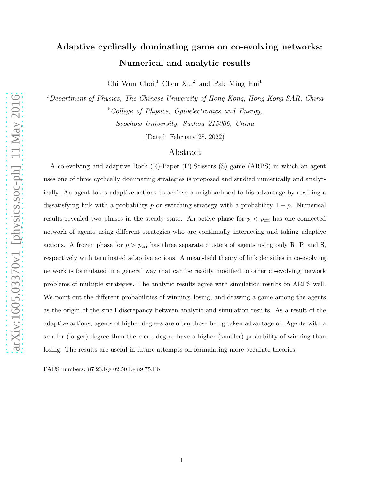# Adaptive cyclically dominating game on co-evolving networks: Numerical and analytic results

Chi Wun Choi,<sup>1</sup> Chen Xu,<sup>2</sup> and Pak Ming Hui<sup>1</sup>

<sup>1</sup>Department of Physics, The Chinese University of Hong Kong, Hong Kong SAR, China  $^{2}$ College of Physics, Optoelectronics and Energy, Soochow University, Suzhou 215006, China

(Dated: February 28, 2022)

### Abstract

A co-evolving and adaptive Rock (R)-Paper (P)-Scissors (S) game (ARPS) in which an agent uses one of three cyclically dominating strategies is proposed and studied numerically and analytically. An agent takes adaptive actions to achieve a neighborhood to his advantage by rewiring a dissatisfying link with a probability p or switching strategy with a probability  $1 - p$ . Numerical results revealed two phases in the steady state. An active phase for  $p < p_{\text{cri}}$  has one connected network of agents using different strategies who are continually interacting and taking adaptive actions. A frozen phase for  $p > p_{\text{cri}}$  has three separate clusters of agents using only R, P, and S, respectively with terminated adaptive actions. A mean-field theory of link densities in co-evolving network is formulated in a general way that can be readily modified to other co-evolving network problems of multiple strategies. The analytic results agree with simulation results on ARPS well. We point out the different probabilities of winning, losing, and drawing a game among the agents as the origin of the small discrepancy between analytic and simulation results. As a result of the adaptive actions, agents of higher degrees are often those being taken advantage of. Agents with a smaller (larger) degree than the mean degree have a higher (smaller) probability of winning than losing. The results are useful in future attempts on formulating more accurate theories.

PACS numbers: 87.23.Kg 02.50.Le 89.75.Fb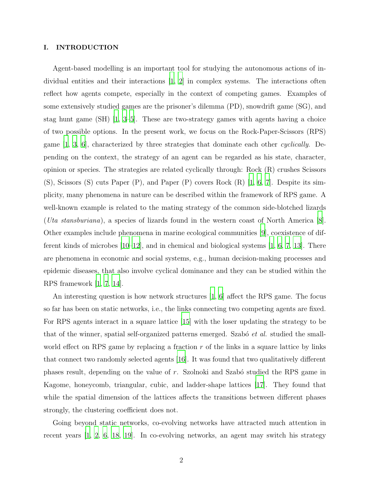#### I. INTRODUCTION

Agent-based modelling is an important tool for studying the autonomous actions of individual entities and their interactions [\[1](#page-15-0), [2](#page-15-1)] in complex systems. The interactions often reflect how agents compete, especially in the context of competing games. Examples of some extensively studied games are the prisoner's dilemma (PD), snowdrift game (SG), and stag hunt game (SH) [\[1](#page-15-0), [3](#page-15-2)[–5\]](#page-15-3). These are two-strategy games with agents having a choice of two possible options. In the present work, we focus on the Rock-Paper-Scissors (RPS) game  $[1, 3, 6]$  $[1, 3, 6]$  $[1, 3, 6]$ , characterized by three strategies that dominate each other *cyclically*. Depending on the context, the strategy of an agent can be regarded as his state, character, opinion or species. The strategies are related cyclically through: Rock (R) crushes Scissors (S), Scissors (S) cuts Paper (P), and Paper (P) covers Rock (R) [\[1,](#page-15-0) [6](#page-15-4), [7\]](#page-15-5). Despite its simplicity, many phenomena in nature can be described within the framework of RPS game. A well-known example is related to the mating strategy of the common side-blotched lizards (Uta stansburiana), a species of lizards found in the western coast of North America [\[8\]](#page-15-6). Other examples include phenomena in marine ecological communities [\[9](#page-16-0)], coexistence of different kinds of microbes [\[10](#page-16-1)[–12\]](#page-16-2), and in chemical and biological systems [\[1](#page-15-0), [6,](#page-15-4) [7,](#page-15-5) [13\]](#page-16-3). There are phenomena in economic and social systems, e.g., human decision-making processes and epidemic diseases, that also involve cyclical dominance and they can be studied within the RPS framework [\[1,](#page-15-0) [7,](#page-15-5) [14\]](#page-16-4).

An interesting question is how network structures [\[1](#page-15-0), [6](#page-15-4)] affect the RPS game. The focus so far has been on static networks, i.e., the links connecting two competing agents are fixed. For RPS agents interact in a square lattice [\[15\]](#page-16-5) with the loser updating the strategy to be that of the winner, spatial self-organized patterns emerged. Szabó  $et$  al. studied the smallworld effect on RPS game by replacing a fraction  $r$  of the links in a square lattice by links that connect two randomly selected agents [\[16\]](#page-16-6). It was found that two qualitatively different phases result, depending on the value of  $r$ . Szolnoki and Szabó studied the RPS game in Kagome, honeycomb, triangular, cubic, and ladder-shape lattices [\[17\]](#page-16-7). They found that while the spatial dimension of the lattices affects the transitions between different phases strongly, the clustering coefficient does not.

Going beyond static networks, co-evolving networks have attracted much attention in recent years [\[1](#page-15-0), [2](#page-15-1), [6,](#page-15-4) [18,](#page-16-8) [19\]](#page-16-9). In co-evolving networks, an agent may switch his strategy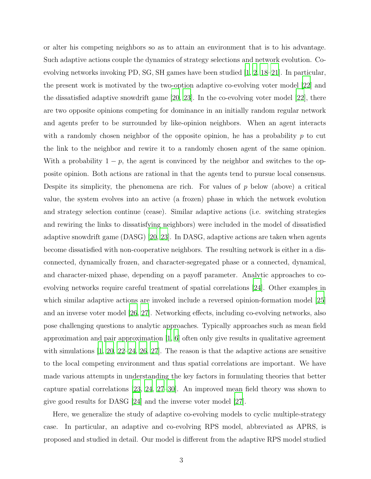or alter his competing neighbors so as to attain an environment that is to his advantage. Such adaptive actions couple the dynamics of strategy selections and network evolution. Coevolving networks invoking PD, SG, SH games have been studied [\[1,](#page-15-0) [2](#page-15-1), [18](#page-16-8)[–21\]](#page-16-10). In particular, the present work is motivated by the two-option adaptive co-evolving voter model [\[22](#page-16-11)] and the dissatisfied adaptive snowdrift game [\[20](#page-16-12), [23\]](#page-16-13). In the co-evolving voter model [\[22\]](#page-16-11), there are two opposite opinions competing for dominance in an initially random regular network and agents prefer to be surrounded by like-opinion neighbors. When an agent interacts with a randomly chosen neighbor of the opposite opinion, he has a probability  $p$  to cut the link to the neighbor and rewire it to a randomly chosen agent of the same opinion. With a probability  $1 - p$ , the agent is convinced by the neighbor and switches to the opposite opinion. Both actions are rational in that the agents tend to pursue local consensus. Despite its simplicity, the phenomena are rich. For values of  $p$  below (above) a critical value, the system evolves into an active (a frozen) phase in which the network evolution and strategy selection continue (cease). Similar adaptive actions (i.e. switching strategies and rewiring the links to dissatisfying neighbors) were included in the model of dissatisfied adaptive snowdrift game (DASG) [\[20,](#page-16-12) [23\]](#page-16-13). In DASG, adaptive actions are taken when agents become dissatisfied with non-cooperative neighbors. The resulting network is either in a disconnected, dynamically frozen, and character-segregated phase or a connected, dynamical, and character-mixed phase, depending on a payoff parameter. Analytic approaches to coevolving networks require careful treatment of spatial correlations [\[24\]](#page-16-14). Other examples in which similar adaptive actions are invoked include a reversed opinion-formation model [\[25\]](#page-16-15) and an inverse voter model [\[26,](#page-16-16) [27\]](#page-16-17). Networking effects, including co-evolving networks, also pose challenging questions to analytic approaches. Typically approaches such as mean field approximation and pair approximation [\[1,](#page-15-0) [6](#page-15-4)] often only give results in qualitative agreement with simulations  $[1, 20, 22-24, 26, 27]$  $[1, 20, 22-24, 26, 27]$  $[1, 20, 22-24, 26, 27]$  $[1, 20, 22-24, 26, 27]$  $[1, 20, 22-24, 26, 27]$  $[1, 20, 22-24, 26, 27]$  $[1, 20, 22-24, 26, 27]$ . The reason is that the adaptive actions are sensitive to the local competing environment and thus spatial correlations are important. We have made various attempts in understanding the key factors in formulating theories that better capture spatial correlations [\[23,](#page-16-13) [24,](#page-16-14) [27](#page-16-17)[–30\]](#page-16-18). An improved mean field theory was shown to give good results for DASG [\[24\]](#page-16-14) and the inverse voter model [\[27](#page-16-17)].

Here, we generalize the study of adaptive co-evolving models to cyclic multiple-strategy case. In particular, an adaptive and co-evolving RPS model, abbreviated as APRS, is proposed and studied in detail. Our model is different from the adaptive RPS model studied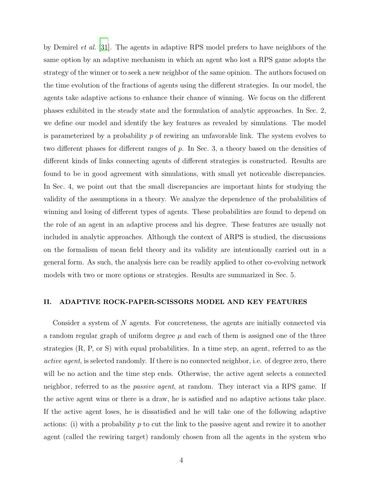by Demirel et al. [\[31](#page-16-19)]. The agents in adaptive RPS model prefers to have neighbors of the same option by an adaptive mechanism in which an agent who lost a RPS game adopts the strategy of the winner or to seek a new neighbor of the same opinion. The authors focused on the time evolution of the fractions of agents using the different strategies. In our model, the agents take adaptive actions to enhance their chance of winning. We focus on the different phases exhibited in the steady state and the formulation of analytic approaches. In Sec. 2, we define our model and identify the key features as revealed by simulations. The model is parameterized by a probability  $p$  of rewiring an unfavorable link. The system evolves to two different phases for different ranges of p. In Sec. 3, a theory based on the densities of different kinds of links connecting agents of different strategies is constructed. Results are found to be in good agreement with simulations, with small yet noticeable discrepancies. In Sec. 4, we point out that the small discrepancies are important hints for studying the validity of the assumptions in a theory. We analyze the dependence of the probabilities of winning and losing of different types of agents. These probabilities are found to depend on the role of an agent in an adaptive process and his degree. These features are usually not included in analytic approaches. Although the context of ARPS is studied, the discussions on the formalism of mean field theory and its validity are intentionally carried out in a general form. As such, the analysis here can be readily applied to other co-evolving network models with two or more options or strategies. Results are summarized in Sec. 5.

### II. ADAPTIVE ROCK-PAPER-SCISSORS MODEL AND KEY FEATURES

Consider a system of N agents. For concreteness, the agents are initially connected via a random regular graph of uniform degree  $\mu$  and each of them is assigned one of the three strategies (R, P, or S) with equal probabilities. In a time step, an agent, referred to as the active agent, is selected randomly. If there is no connected neighbor, i.e. of degree zero, there will be no action and the time step ends. Otherwise, the active agent selects a connected neighbor, referred to as the passive agent, at random. They interact via a RPS game. If the active agent wins or there is a draw, he is satisfied and no adaptive actions take place. If the active agent loses, he is dissatisfied and he will take one of the following adaptive actions: (i) with a probability p to cut the link to the passive agent and rewire it to another agent (called the rewiring target) randomly chosen from all the agents in the system who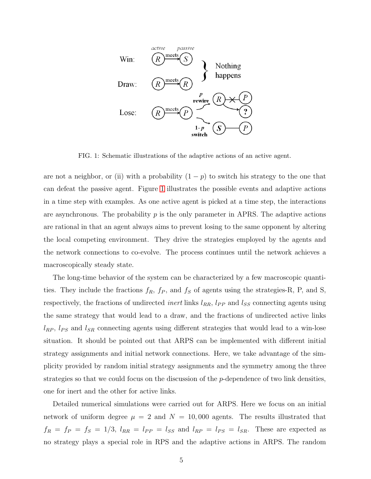

<span id="page-4-0"></span>FIG. 1: Schematic illustrations of the adaptive actions of an active agent.

are not a neighbor, or (ii) with a probability  $(1 - p)$  to switch his strategy to the one that can defeat the passive agent. Figure [1](#page-4-0) illustrates the possible events and adaptive actions in a time step with examples. As one active agent is picked at a time step, the interactions are asynchronous. The probability  $p$  is the only parameter in APRS. The adaptive actions are rational in that an agent always aims to prevent losing to the same opponent by altering the local competing environment. They drive the strategies employed by the agents and the network connections to co-evolve. The process continues until the network achieves a macroscopically steady state.

The long-time behavior of the system can be characterized by a few macroscopic quantities. They include the fractions  $f_R$ ,  $f_P$ , and  $f_S$  of agents using the strategies-R, P, and S, respectively, the fractions of undirected *inert* links  $l_{RR}$ ,  $l_{PP}$  and  $l_{SS}$  connecting agents using the same strategy that would lead to a draw, and the fractions of undirected active links  $l_{RP}$ ,  $l_{PS}$  and  $l_{SR}$  connecting agents using different strategies that would lead to a win-lose situation. It should be pointed out that ARPS can be implemented with different initial strategy assignments and initial network connections. Here, we take advantage of the simplicity provided by random initial strategy assignments and the symmetry among the three strategies so that we could focus on the discussion of the  $p$ -dependence of two link densities, one for inert and the other for active links.

Detailed numerical simulations were carried out for ARPS. Here we focus on an initial network of uniform degree  $\mu = 2$  and  $N = 10,000$  agents. The results illustrated that  $f_R = f_P = f_S = 1/3$ ,  $l_{RR} = l_{PP} = l_{SS}$  and  $l_{RP} = l_{PS} = l_{SR}$ . These are expected as no strategy plays a special role in RPS and the adaptive actions in ARPS. The random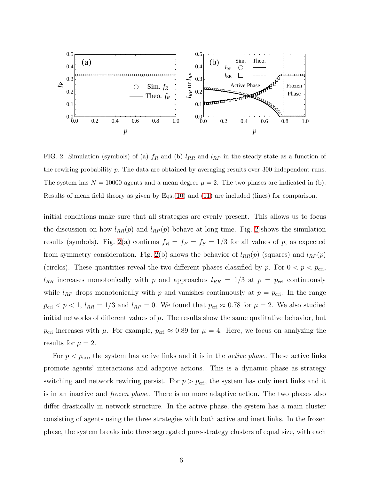

<span id="page-5-0"></span>FIG. 2: Simulation (symbols) of (a)  $f_R$  and (b)  $l_{RR}$  and  $l_{RP}$  in the steady state as a function of the rewiring probability  $p$ . The data are obtained by averaging results over 300 independent runs. The system has  $N = 10000$  agents and a mean degree  $\mu = 2$ . The two phases are indicated in (b). Results of mean field theory as given by Eqs.[\(10\)](#page-10-0) and [\(11\)](#page-10-1) are included (lines) for comparison.

initial conditions make sure that all strategies are evenly present. This allows us to focus the discussion on how  $l_{RR}(p)$  and  $l_{RP}(p)$  behave at long time. Fig. [2](#page-5-0) shows the simulation results (symbols). Fig. [2\(](#page-5-0)a) confirms  $f_R = f_P = f_S = 1/3$  for all values of p, as expected from symmetry consideration. Fig. [2\(](#page-5-0)b) shows the behavior of  $l_{RR}(p)$  (squares) and  $l_{RP}(p)$ (circles). These quantities reveal the two different phases classified by p. For  $0 < p < p_{\text{cri}}$ ,  $l_{RR}$  increases monotonically with p and approaches  $l_{RR} = 1/3$  at  $p = p_{\text{cri}}$  continuously while  $l_{RP}$  drops monotonically with p and vanishes continuously at  $p = p_{\text{cri}}$ . In the range  $p_{\text{cri}} < p < 1$ ,  $l_{RR} = 1/3$  and  $l_{RP} = 0$ . We found that  $p_{\text{cri}} \approx 0.78$  for  $\mu = 2$ . We also studied initial networks of different values of  $\mu$ . The results show the same qualitative behavior, but  $p_{\text{cri}}$  increases with  $\mu$ . For example,  $p_{\text{cri}} \approx 0.89$  for  $\mu = 4$ . Here, we focus on analyzing the results for  $\mu = 2$ .

For  $p < p_{\text{cri}}$ , the system has active links and it is in the *active phase*. These active links promote agents' interactions and adaptive actions. This is a dynamic phase as strategy switching and network rewiring persist. For  $p > p_{\text{cri}}$ , the system has only inert links and it is in an inactive and frozen phase. There is no more adaptive action. The two phases also differ drastically in network structure. In the active phase, the system has a main cluster consisting of agents using the three strategies with both active and inert links. In the frozen phase, the system breaks into three segregated pure-strategy clusters of equal size, with each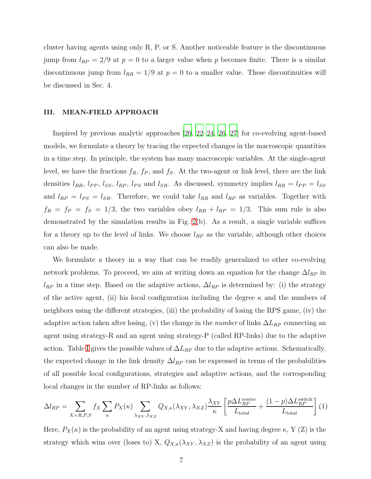cluster having agents using only R, P, or S. Another noticeable feature is the discontinuous jump from  $l_{RP} = 2/9$  at  $p = 0$  to a larger value when p becomes finite. There is a similar discontinuous jump from  $l_{RR} = 1/9$  at  $p = 0$  to a smaller value. These discontinuities will be discussed in Sec. 4.

#### III. MEAN-FIELD APPROACH

Inspired by previous analytic approaches [\[20](#page-16-12), [22](#page-16-11)[–24,](#page-16-14) [26](#page-16-16), [27](#page-16-17)] for co-evolving agent-based models, we formulate a theory by tracing the expected changes in the macroscopic quantities in a time step. In principle, the system has many macroscopic variables. At the single-agent level, we have the fractions  $f_R$ ,  $f_P$ , and  $f_S$ . At the two-agent or link level, there are the link densities  $l_{RR}$ ,  $l_{PP}$ ,  $l_{SS}$ ,  $l_{RP}$ ,  $l_{PS}$  and  $l_{SR}$ . As discussed, symmetry implies  $l_{RR} = l_{PP} = l_{SS}$ and  $l_{RP} = l_{PS} = l_{SR}$ . Therefore, we could take  $l_{RR}$  and  $l_{RP}$  as variables. Together with  $f_R = f_P = f_S = 1/3$ , the two variables obey  $l_{RR} + l_{RP} = 1/3$ . This sum rule is also demonstrated by the simulation results in Fig. [2\(](#page-5-0)b). As a result, a single variable suffices for a theory up to the level of links. We choose  $l_{RP}$  as the variable, although other choices can also be made.

We formulate a theory in a way that can be readily generalized to other co-evolving network problems. To proceed, we aim at writing down an equation for the change  $\Delta l_{RP}$  in  $l_{RP}$  in a time step. Based on the adaptive actions,  $\Delta l_{RP}$  is determined by: (i) the strategy of the active agent, (ii) his local configuration including the degree  $\kappa$  and the numbers of neighbors using the different strategies, (iii) the probability of losing the RPS game, (iv) the adaptive action taken after losing, (v) the change in the *number* of links  $\Delta L_{RP}$  connecting an agent using strategy-R and an agent using strategy-P (called RP-links) due to the adaptive action. Table [I](#page-7-0) gives the possible values of  $\Delta L_{RP}$  due to the adaptive actions. Schematically, the expected change in the link density  $\Delta l_{RP}$  can be expressed in terms of the probabilities of all possible local configurations, strategies and adaptive actions, and the corresponding local changes in the number of RP-links as follows:

<span id="page-6-0"></span>
$$
\Delta l_{RP} = \sum_{X=R,P,S} f_X \sum_{\kappa} P_X(\kappa) \sum_{\lambda_{XY},\lambda_{XZ}} Q_{X,\kappa}(\lambda_{XY},\lambda_{XZ}) \frac{\lambda_{XY}}{\kappa} \left[ \frac{p \Delta L_{RP}^{\text{rewrite}}}{L_{\text{total}}} + \frac{(1-p) \Delta L_{RP}^{\text{switch}}}{L_{\text{total}}} \right] (1)
$$

Here,  $P_X(\kappa)$  is the probability of an agent using strategy-X and having degree  $\kappa$ , Y (Z) is the strategy which wins over (loses to) X,  $Q_{X,\kappa}(\lambda_{XY},\lambda_{XZ})$  is the probability of an agent using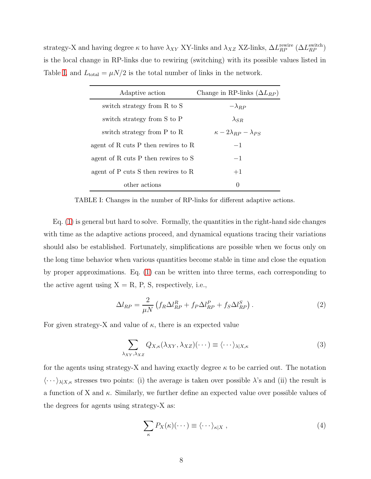strategy-X and having degree  $\kappa$  to have  $\lambda_{XY}$  XY-links and  $\lambda_{XZ}$  XZ-links,  $\Delta L_{RP}^{\text{rewrite}}$   $(\Delta L_{RP}^{\text{switch}})$ is the local change in RP-links due to rewiring (switching) with its possible values listed in Table [I,](#page-7-0) and  $L_{\text{total}} = \mu N/2$  is the total number of links in the network.

| Adaptive action                     | Change in RP-links $(\Delta L_{RP})$    |
|-------------------------------------|-----------------------------------------|
| switch strategy from R to S         | $-\lambda_{RP}$                         |
| switch strategy from S to P         | $\lambda_{SR}$                          |
| switch strategy from P to R         | $\kappa - 2\lambda_{BP} - \lambda_{PS}$ |
| agent of R cuts P then rewires to R | $-1$                                    |
| agent of R cuts P then rewires to S | $-1$                                    |
| agent of P cuts S then rewires to R | $+1$                                    |
| other actions                       | $\theta$                                |

<span id="page-7-0"></span>TABLE I: Changes in the number of RP-links for different adaptive actions.

Eq. [\(1\)](#page-6-0) is general but hard to solve. Formally, the quantities in the right-hand side changes with time as the adaptive actions proceed, and dynamical equations tracing their variations should also be established. Fortunately, simplifications are possible when we focus only on the long time behavior when various quantities become stable in time and close the equation by proper approximations. Eq. [\(1\)](#page-6-0) can be written into three terms, each corresponding to the active agent using  $X = R$ , P, S, respectively, i.e.,

<span id="page-7-1"></span>
$$
\Delta l_{RP} = \frac{2}{\mu N} \left( f_R \Delta l_{RP}^R + f_P \Delta l_{RP}^P + f_S \Delta l_{RP}^S \right). \tag{2}
$$

For given strategy-X and value of  $\kappa$ , there is an expected value

$$
\sum_{\lambda_{XY},\lambda_{XZ}} Q_{X,\kappa}(\lambda_{XY},\lambda_{XZ})(\cdots) \equiv \langle \cdots \rangle_{\lambda|X,\kappa} \tag{3}
$$

for the agents using strategy-X and having exactly degree  $\kappa$  to be carried out. The notation  $\langle \cdots \rangle_{\lambda|X,\kappa}$  stresses two points: (i) the average is taken over possible  $\lambda$ 's and (ii) the result is a function of X and  $\kappa$ . Similarly, we further define an expected value over possible values of the degrees for agents using strategy-X as:

$$
\sum_{\kappa} P_X(\kappa)(\cdots) \equiv \langle \cdots \rangle_{\kappa|X}, \qquad (4)
$$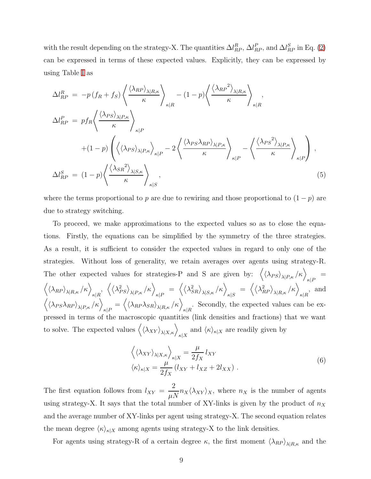with the result depending on the strategy-X. The quantities  $\Delta l_{RP}^R$ ,  $\Delta l_{RP}^P$ , and  $\Delta l_{RP}^S$  in Eq. [\(2\)](#page-7-1) can be expressed in terms of these expected values. Explicitly, they can be expressed by using Table [I](#page-7-0) as

<span id="page-8-0"></span>
$$
\Delta l_{RP}^R = -p(f_R + f_S) \left\langle \frac{\langle \lambda_{RP} \rangle_{\lambda|R,\kappa}}{\kappa} \right\rangle_{\kappa|R} - (1-p) \left\langle \frac{\langle \lambda_{RP}^2 \rangle_{\lambda|R,\kappa}}{\kappa} \right\rangle_{\kappa|R},
$$
\n
$$
\Delta l_{RP}^P = p f_R \left\langle \frac{\langle \lambda_{PS} \rangle_{\lambda|P,\kappa}}{\kappa} \right\rangle_{\kappa|P} + (1-p) \left\langle \langle \lambda_{PS} \rangle_{\lambda|P,\kappa} \right\rangle_{\kappa|P} - 2 \left\langle \frac{\langle \lambda_{PS} \lambda_{RP} \rangle_{\lambda|P,\kappa}}{\kappa} \right\rangle_{\kappa|P} - \left\langle \frac{\langle \lambda_{PS}^2 \rangle_{\lambda|P,\kappa}}{\kappa} \right\rangle_{\kappa|P} \right\},
$$
\n
$$
\Delta l_{RP}^S = (1-p) \left\langle \frac{\langle \lambda_{SR}^2 \rangle_{\lambda|S,\kappa}}{\kappa} \right\rangle_{\kappa|S},
$$
\n(5)

where the terms proportional to p are due to rewiring and those proportional to  $(1 - p)$  are due to strategy switching.

To proceed, we make approximations to the expected values so as to close the equations. Firstly, the equations can be simplified by the symmetry of the three strategies. As a result, it is sufficient to consider the expected values in regard to only one of the strategies. Without loss of generality, we retain averages over agents using strategy-R. The other expected values for strategies-P and S are given by:  $\langle \langle \lambda_{PS} \rangle_{\lambda|P,\kappa} / \kappa \rangle_{\kappa|P}$  =  $\left<\left<\lambda_{RP}\right>_{\lambda|R,\kappa}/\kappa\right>_{\kappa|R},\right.\left.\left<\left<\lambda_{PS}^2\right>_{\lambda|P,\kappa}/\kappa\right>_{\kappa|P} = \left.\left<\left<\lambda_{SR}^2\right>_{\lambda|S,\kappa}/\kappa\right>_{\kappa|S} = \left.\left<\left<\lambda_{RP}^2\right>_{\lambda|R,\kappa}/\kappa\right>_{\kappa|R},\right.\right.\right.\right.$  $\langle \langle \lambda_{PS} \lambda_{RP} \rangle_{\lambda|P,\kappa} / \kappa \rangle_{\kappa|P} = \langle \langle \lambda_{RP} \lambda_{SR} \rangle_{\lambda|R,\kappa} / \kappa \rangle_{\kappa|R}$ . Secondly, the expected values can be expressed in terms of the macroscopic quantities (link densities and fractions) that we want to solve. The expected values  $\langle \langle \lambda_{XY} \rangle_{\lambda|X,\kappa} \rangle_{\kappa|X}$  and  $\langle \kappa \rangle_{\kappa|X}$  are readily given by

$$
\left\langle \langle \lambda_{XY} \rangle_{\lambda | X, \kappa} \right\rangle_{\kappa | X} = \frac{\mu}{2f_X} l_{XY}
$$
  

$$
\langle \kappa \rangle_{\kappa | X} = \frac{\mu}{2f_X} (l_{XY} + l_{XZ} + 2l_{XX}).
$$
  
(6)

The first equation follows from  $l_{XY}$  = 2  $\frac{2}{\mu N} n_X \langle \lambda_{XY} \rangle_X$ , where  $n_X$  is the number of agents using strategy-X. It says that the total number of XY-links is given by the product of  $n_X$ and the average number of XY-links per agent using strategy-X. The second equation relates the mean degree  $\langle \kappa \rangle_{\kappa|X}$  among agents using strategy-X to the link densities.

For agents using strategy-R of a certain degree  $\kappa$ , the first moment  $\langle \lambda_{RP} \rangle_{\lambda|R,\kappa}$  and the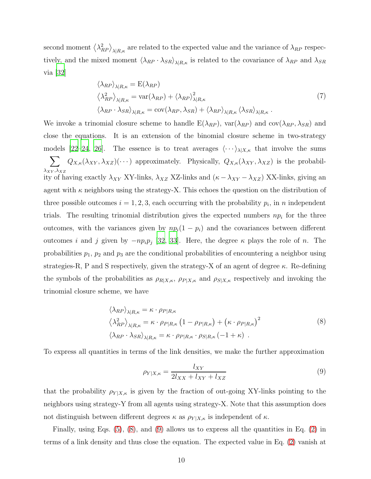second moment  $\langle \lambda_{RP}^2 \rangle_{\lambda|R,\kappa}$  are related to the expected value and the variance of  $\lambda_{RP}$  respectively, and the mixed moment  $\langle \lambda_{RP} \cdot \lambda_{SR} \rangle_{\lambda|R,\kappa}$  is related to the covariance of  $\lambda_{RP}$  and  $\lambda_{SR}$ via [\[32](#page-16-20)]

$$
\langle \lambda_{RP} \rangle_{\lambda|R,\kappa} = \mathcal{E}(\lambda_{RP})
$$
  

$$
\langle \lambda_{RP}^2 \rangle_{\lambda|R,\kappa} = \text{var}(\lambda_{RP}) + \langle \lambda_{RP} \rangle_{\lambda|R,\kappa}^2
$$
  

$$
\langle \lambda_{RP} \cdot \lambda_{SR} \rangle_{\lambda|R,\kappa} = \text{cov}(\lambda_{RP}, \lambda_{SR}) + \langle \lambda_{RP} \rangle_{\lambda|R,\kappa} \langle \lambda_{SR} \rangle_{\lambda|R,\kappa}.
$$

$$
(7)
$$

We invoke a trinomial closure scheme to handle  $E(\lambda_{RP})$ ,  $var(\lambda_{RP})$  and  $cov(\lambda_{RP}, \lambda_{SR})$  and close the equations. It is an extension of the binomial closure scheme in two-strategy models [\[22](#page-16-11)[–24](#page-16-14), [26\]](#page-16-16). The essence is to treat averages  $\langle \cdots \rangle_{\lambda|X,\kappa}$  that involve the sums  $\sum$  $\lambda_{XY},\!\lambda_{XZ}$  $Q_{X,\kappa}(\lambda_{XY},\lambda_{XZ})(\cdots)$  approximately. Physically,  $Q_{X,\kappa}(\lambda_{XY},\lambda_{XZ})$  is the probability of having exactly  $\lambda_{XY}$  XY-links,  $\lambda_{XZ}$  XZ-links and  $(\kappa - \lambda_{XY} - \lambda_{XZ})$  XX-links, giving an agent with  $\kappa$  neighbors using the strategy-X. This echoes the question on the distribution of three possible outcomes  $i = 1, 2, 3$ , each occurring with the probability  $p_i$ , in n independent trials. The resulting trinomial distribution gives the expected numbers  $np_i$  for the three outcomes, with the variances given by  $np_i(1 - p_i)$  and the covariances between different outcomes i and j given by  $-np_i p_j$  [\[32](#page-16-20), [33](#page-16-21)]. Here, the degree  $\kappa$  plays the role of n. The probabilities  $p_1$ ,  $p_2$  and  $p_3$  are the conditional probabilities of encountering a neighbor using strategies-R, P and S respectively, given the strategy-X of an agent of degree  $\kappa$ . Re-defining the symbols of the probabilities as  $\rho_{R|X,\kappa}$ ,  $\rho_{P|X,\kappa}$  and  $\rho_{S|X,\kappa}$  respectively and invoking the trinomial closure scheme, we have

<span id="page-9-0"></span>
$$
\langle \lambda_{RP} \rangle_{\lambda|R,\kappa} = \kappa \cdot \rho_{P|R,\kappa}
$$
  

$$
\langle \lambda_{RP}^2 \rangle_{\lambda|R,\kappa} = \kappa \cdot \rho_{P|R,\kappa} (1 - \rho_{P|R,\kappa}) + (\kappa \cdot \rho_{P|R,\kappa})^2
$$
  

$$
\langle \lambda_{RP} \cdot \lambda_{SR} \rangle_{\lambda|R,\kappa} = \kappa \cdot \rho_{P|R,\kappa} \cdot \rho_{S|R,\kappa} (-1 + \kappa) .
$$
 (8)

To express all quantities in terms of the link densities, we make the further approximation

<span id="page-9-1"></span>
$$
\rho_{Y|X,\kappa} = \frac{l_{XY}}{2l_{XX} + l_{XY} + l_{XZ}}\tag{9}
$$

that the probability  $\rho_{Y|X,\kappa}$  is given by the fraction of out-going XY-links pointing to the neighbors using strategy-Y from all agents using strategy-X. Note that this assumption does not distinguish between different degrees  $\kappa$  as  $\rho_{Y|X,\kappa}$  is independent of  $\kappa$ .

Finally, using Eqs. [\(5\)](#page-8-0), [\(8\)](#page-9-0), and [\(9\)](#page-9-1) allows us to express all the quantities in Eq. [\(2\)](#page-7-1) in terms of a link density and thus close the equation. The expected value in Eq. [\(2\)](#page-7-1) vanish at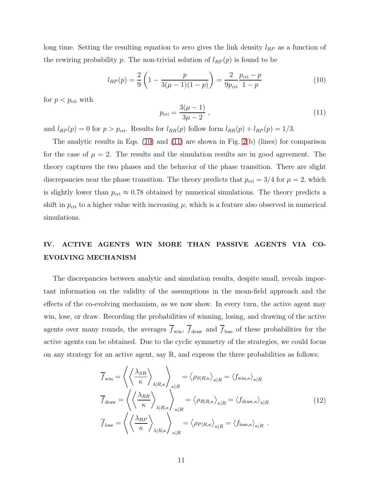long time. Setting the resulting equation to zero gives the link density  $l_{RP}$  as a function of the rewiring probability p. The non-trivial solution of  $l_{RP}(p)$  is found to be

<span id="page-10-0"></span>
$$
l_{RP}(p) = \frac{2}{9} \left( 1 - \frac{p}{3(\mu - 1)(1 - p)} \right) = \frac{2}{9p_{\text{cri}}} \frac{p_{\text{cri}} - p}{1 - p}
$$
(10)

for  $p < p_{\text{cri}}$  with

<span id="page-10-1"></span>
$$
p_{\rm cri} = \frac{3(\mu - 1)}{3\mu - 2} \,,\tag{11}
$$

and  $l_{RP}(p) = 0$  for  $p > p_{\text{cri}}$ . Results for  $l_{RR}(p)$  follow form  $l_{RR}(p) + l_{RP}(p) = 1/3$ .

The analytic results in Eqs.  $(10)$  and  $(11)$  are shown in Fig.  $2(b)$  (lines) for comparison for the case of  $\mu = 2$ . The results and the simulation results are in good agreement. The theory captures the two phases and the behavior of the phase transition. There are slight discrepancies near the phase transition. The theory predicts that  $p_{\text{cri}} = 3/4$  for  $\mu = 2$ , which is slightly lower than  $p_{\text{cri}} \approx 0.78$  obtained by numerical simulations. The theory predicts a shift in  $p_{\text{cri}}$  to a higher value with increasing  $\mu$ , which is a feature also observed in numerical simulations.

## IV. ACTIVE AGENTS WIN MORE THAN PASSIVE AGENTS VIA CO-EVOLVING MECHANISM

The discrepancies between analytic and simulation results, despite small, reveals important information on the validity of the assumptions in the mean-field approach and the effects of the co-evolving mechanism, as we now show. In every turn, the active agent may win, lose, or draw. Recording the probabilities of winning, losing, and drawing of the active agents over many rounds, the averages  $\overline{f}_{win}$ ,  $\overline{f}_{draw}$  and  $\overline{f}_{lose}$  of these probabilities for the active agents can be obtained. Due to the cyclic symmetry of the strategies, we could focus on any strategy for an active agent, say R, and express the three probabilities as follows:

$$
\overline{f}_{\text{win}} = \left\langle \left\langle \frac{\lambda_{SR}}{\kappa} \right\rangle_{\lambda|R,\kappa} \right\rangle_{\kappa|R} = \left\langle \rho_{S|R,\kappa} \right\rangle_{\kappa|R} = \left\langle f_{\text{win},\kappa} \right\rangle_{\kappa|R}
$$
\n
$$
\overline{f}_{\text{draw}} = \left\langle \left\langle \frac{\lambda_{RR}}{\kappa} \right\rangle_{\lambda|R,\kappa} \right\rangle_{\kappa|R} = \left\langle \rho_{R|R,\kappa} \right\rangle_{\kappa|R} = \left\langle f_{\text{draw},\kappa} \right\rangle_{\kappa|R}
$$
\n
$$
\overline{f}_{\text{lose}} = \left\langle \left\langle \frac{\lambda_{RP}}{\kappa} \right\rangle_{\lambda|R,\kappa} \right\rangle_{\kappa|R} = \left\langle \rho_{P|R,\kappa} \right\rangle_{\kappa|R} = \left\langle f_{\text{lose},\kappa} \right\rangle_{\kappa|R} .
$$
\n(12)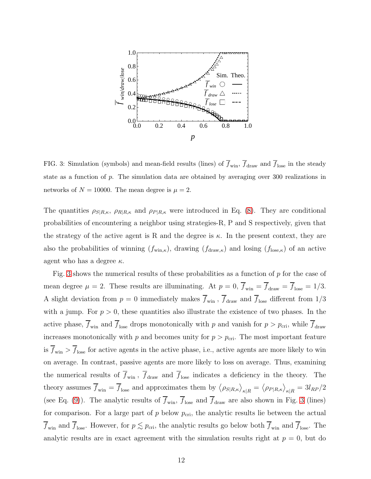

<span id="page-11-0"></span>FIG. 3: Simulation (symbols) and mean-field results (lines) of  $\overline{f}_{win}$ ,  $\overline{f}_{draw}$  and  $\overline{f}_{lose}$  in the steady state as a function of p. The simulation data are obtained by averaging over 300 realizations in networks of  $N = 10000$ . The mean degree is  $\mu = 2$ .

The quantities  $\rho_{S|R,\kappa}$ ,  $\rho_{R|R,\kappa}$  and  $\rho_{P|R,\kappa}$  were introduced in Eq. [\(8\)](#page-9-0). They are conditional probabilities of encountering a neighbor using strategies-R, P and S respectively, given that the strategy of the active agent is R and the degree is  $\kappa$ . In the present context, they are also the probabilities of winning  $(f_{\text{win},\kappa})$ , drawing  $(f_{\text{draw},\kappa})$  and losing  $(f_{\text{lose},\kappa})$  of an active agent who has a degree  $\kappa$ .

Fig. [3](#page-11-0) shows the numerical results of these probabilities as a function of  $p$  for the case of mean degree  $\mu = 2$ . These results are illuminating. At  $p = 0$ ,  $\overline{f}_{win} = \overline{f}_{draw} = \overline{f}_{lose} = 1/3$ . A slight deviation from  $p = 0$  immediately makes  $\overline{f}_{win}$ ,  $\overline{f}_{draw}$  and  $\overline{f}_{lose}$  different from 1/3 with a jump. For  $p > 0$ , these quantities also illustrate the existence of two phases. In the active phase,  $\overline{f}_{\text{win}}$  and  $\overline{f}_{\text{lose}}$  drops monotonically with p and vanish for  $p > p_{\text{cri}}$ , while  $\overline{f}_{\text{draw}}$ increases monotonically with p and becomes unity for  $p > p_{\text{cri}}$ . The most important feature is  $\overline{f}_{win} > \overline{f}_{lose}$  for active agents in the active phase, i.e., active agents are more likely to win on average. In contrast, passive agents are more likely to loss on average. Thus, examining the numerical results of  $\overline{f}_{win}$ ,  $\overline{f}_{draw}$  and  $\overline{f}_{lose}$  indicates a deficiency in the theory. The theory assumes  $\overline{f}_{\text{win}} = \overline{f}_{\text{lose}}$  and approximates them by  $\langle \rho_{S|R,\kappa} \rangle_{\kappa|R} = \langle \rho_{P|R,\kappa} \rangle_{\kappa|R} = 3l_{RP}/2$ (see Eq. [\(9\)](#page-9-1)). The analytic results of  $\overline{f}_{win}$ ,  $\overline{f}_{lose}$  and  $\overline{f}_{draw}$  are also shown in Fig. [3](#page-11-0) (lines) for comparison. For a large part of  $p$  below  $p_{\text{cri}}$ , the analytic results lie between the actual  $\overline{f}_{\text{win}}$  and  $\overline{f}_{\text{lose}}$ . However, for  $p \lesssim p_{\text{cri}}$ , the analytic results go below both  $\overline{f}_{\text{win}}$  and  $\overline{f}_{\text{lose}}$ . The analytic results are in exact agreement with the simulation results right at  $p = 0$ , but do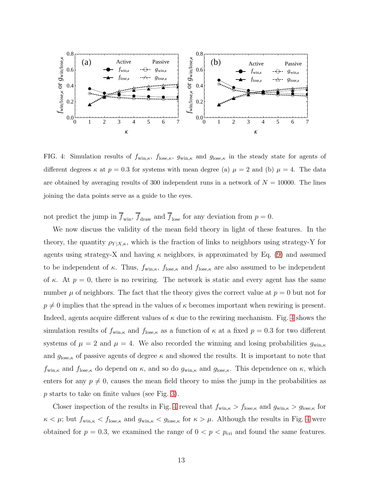

<span id="page-12-0"></span>FIG. 4: Simulation results of  $f_{\text{win},\kappa}$ ,  $f_{\text{lose},\kappa}$ ,  $g_{\text{win},\kappa}$  and  $g_{\text{lose},\kappa}$  in the steady state for agents of different degrees  $\kappa$  at  $p = 0.3$  for systems with mean degree (a)  $\mu = 2$  and (b)  $\mu = 4$ . The data are obtained by averaging results of 300 independent runs in a network of  $N = 10000$ . The lines joining the data points serve as a guide to the eyes.

not predict the jump in  $\overline{f}_{win}$ ,  $\overline{f}_{draw}$  and  $\overline{f}_{lose}$  for any deviation from  $p = 0$ .

We now discuss the validity of the mean field theory in light of these features. In the theory, the quantity  $\rho_{Y|X,\kappa}$ , which is the fraction of links to neighbors using strategy-Y for agents using strategy-X and having  $\kappa$  neighbors, is approximated by Eq. [\(9\)](#page-9-1) and assumed to be independent of κ. Thus,  $f_{\text{win},\kappa}$ ,  $f_{\text{lose},\kappa}$  and  $f_{\text{lose},\kappa}$  are also assumed to be independent of  $\kappa$ . At  $p = 0$ , there is no rewiring. The network is static and every agent has the same number  $\mu$  of neighbors. The fact that the theory gives the correct value at  $p = 0$  but not for  $p \neq 0$  implies that the spread in the values of  $\kappa$  becomes important when rewiring is present. Indeed, agents acquire different values of  $\kappa$  due to the rewiring mechanism. Fig. [4](#page-12-0) shows the simulation results of  $f_{\text{win},\kappa}$  and  $f_{\text{lose},\kappa}$  as a function of  $\kappa$  at a fixed  $p = 0.3$  for two different systems of  $\mu = 2$  and  $\mu = 4$ . We also recorded the winning and losing probabilities  $g_{\text{win},\kappa}$ and  $g_{\text{lose},\kappa}$  of passive agents of degree  $\kappa$  and showed the results. It is important to note that  $f_{\text{win},\kappa}$  and  $f_{\text{lose},\kappa}$  do depend on  $\kappa$ , and so do  $g_{\text{win},\kappa}$  and  $g_{\text{lose},\kappa}$ . This dependence on  $\kappa$ , which enters for any  $p \neq 0$ , causes the mean field theory to miss the jump in the probabilities as p starts to take on finite values (see Fig. [3\)](#page-11-0).

Closer inspection of the results in Fig. [4](#page-12-0) reveal that  $f_{\text{win},\kappa} > f_{\text{lose},\kappa}$  and  $g_{\text{win},\kappa} > g_{\text{lose},\kappa}$  for  $\kappa < \mu$ ; but  $f_{\text{win},\kappa} < f_{\text{lose},\kappa}$  and  $g_{\text{win},\kappa} < g_{\text{lose},\kappa}$  for  $\kappa > \mu$ . Although the results in Fig. [4](#page-12-0) were obtained for  $p = 0.3$ , we examined the range of  $0 < p < p<sub>cri</sub>$  and found the same features.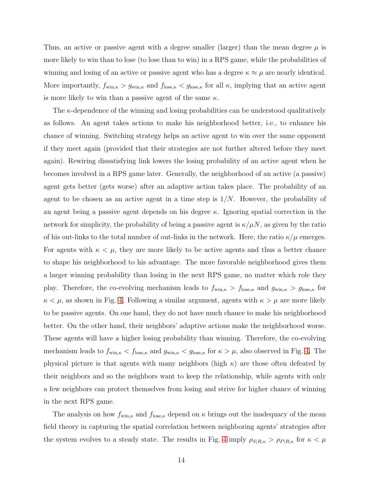Thus, an active or passive agent with a degree smaller (larger) than the mean degree  $\mu$  is more likely to win than to lose (to lose than to win) in a RPS game, while the probabilities of winning and losing of an active or passive agent who has a degree  $\kappa \approx \mu$  are nearly identical. More importantly,  $f_{\text{win},\kappa} > g_{\text{win},\kappa}$  and  $f_{\text{lose},\kappa} < g_{\text{lose},\kappa}$  for all  $\kappa$ , implying that an active agent is more likely to win than a passive agent of the same  $\kappa$ .

The  $\kappa$ -dependence of the winning and losing probabilities can be understood qualitatively as follows. An agent takes actions to make his neighborhood better, i.e., to enhance his chance of winning. Switching strategy helps an active agent to win over the same opponent if they meet again (provided that their strategies are not further altered before they meet again). Rewiring dissatisfying link lowers the losing probability of an active agent when he becomes involved in a RPS game later. Generally, the neighborhood of an active (a passive) agent gets better (gets worse) after an adaptive action takes place. The probability of an agent to be chosen as an active agent in a time step is  $1/N$ . However, the probability of an agent being a passive agent depends on his degree  $\kappa$ . Ignoring spatial correction in the network for simplicity, the probability of being a passive agent is  $\kappa/\mu N$ , as given by the ratio of his out-links to the total number of out-links in the network. Here, the ratio  $\kappa/\mu$  emerges. For agents with  $\kappa < \mu$ , they are more likely to be active agents and thus a better chance to shape his neighborhood to his advantage. The more favorable neighborhood gives them a larger winning probability than losing in the next RPS game, no matter which role they play. Therefore, the co-evolving mechanism leads to  $f_{\text{win},\kappa} > f_{\text{lose},\kappa}$  and  $g_{\text{win},\kappa} > g_{\text{lose},\kappa}$  for  $\kappa < \mu$ , as shown in Fig. [4.](#page-12-0) Following a similar argument, agents with  $\kappa > \mu$  are more likely to be passive agents. On one hand, they do not have much chance to make his neighborhood better. On the other hand, their neighbors' adaptive actions make the neighborhood worse. These agents will have a higher losing probability than winning. Therefore, the co-evolving mechanism leads to  $f_{\text{win},\kappa} < f_{\text{lose},\kappa}$  and  $g_{\text{win},\kappa} < g_{\text{lose},\kappa}$  for  $\kappa > \mu$ , also observed in Fig. [4.](#page-12-0) The physical picture is that agents with many neighbors (high  $\kappa$ ) are those often defeated by their neighbors and so the neighbors want to keep the relationship, while agents with only a few neighbors can protect themselves from losing and strive for higher chance of winning in the next RPS game.

The analysis on how  $f_{\text{win},\kappa}$  and  $f_{\text{lose},\kappa}$  depend on  $\kappa$  brings out the inadequacy of the mean field theory in capturing the spatial correlation between neighboring agents' strategies after the system evolves to a steady state. The results in Fig. [4](#page-12-0) imply  $\rho_{S|R,\kappa} > \rho_{P|R,\kappa}$  for  $\kappa < \mu$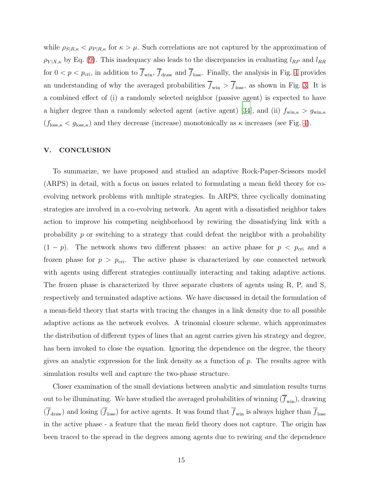while  $\rho_{S|R,\kappa} < \rho_{P|R,\kappa}$  for  $\kappa > \mu$ . Such correlations are not captured by the approximation of  $\rho_{Y|X,\kappa}$  by Eq. [\(9\)](#page-9-1). This inadequacy also leads to the discrepancies in evaluating  $l_{RP}$  and  $l_{RR}$ for  $0 < p < p_{\text{cri}}$ , in addition to  $\overline{f}_{\text{win}}$ ,  $\overline{f}_{\text{draw}}$  and  $\overline{f}_{\text{lose}}$ . Finally, the analysis in Fig. [4](#page-12-0) provides an understanding of why the averaged probabilities  $\overline{f}_{win} > \overline{f}_{lose}$ , as shown in Fig. [3.](#page-11-0) It is a combined effect of (i) a randomly selected neighbor (passive agent) is expected to have a higher degree than a randomly selected agent (active agent) [\[34](#page-16-22)], and (ii)  $f_{\text{win},\kappa} > g_{\text{win},\kappa}$  $(f_{\text{lose},\kappa} < g_{\text{lose},\kappa})$  and they decrease (increase) monotonically as  $\kappa$  increases (see Fig. [4\)](#page-12-0).

#### V. CONCLUSION

To summarize, we have proposed and studied an adaptive Rock-Paper-Scissors model (ARPS) in detail, with a focus on issues related to formulating a mean field theory for coevolving network problems with multiple strategies. In ARPS, three cyclically dominating strategies are involved in a co-evolving network. An agent with a dissatisfied neighbor takes action to improve his competing neighborhood by rewiring the dissatisfying link with a probability  $p$  or switching to a strategy that could defeat the neighbor with a probability  $(1 - p)$ . The network shows two different phases: an active phase for  $p < p_{\text{cri}}$  and a frozen phase for  $p > p_{\text{cri}}$ . The active phase is characterized by one connected network with agents using different strategies continually interacting and taking adaptive actions. The frozen phase is characterized by three separate clusters of agents using R, P, and S, respectively and terminated adaptive actions. We have discussed in detail the formulation of a mean-field theory that starts with tracing the changes in a link density due to all possible adaptive actions as the network evolves. A trinomial closure scheme, which approximates the distribution of different types of lines that an agent carries given his strategy and degree, has been invoked to close the equation. Ignoring the dependence on the degree, the theory gives an analytic expression for the link density as a function of  $p$ . The results agree with simulation results well and capture the two-phase structure.

Closer examination of the small deviations between analytic and simulation results turns out to be illuminating. We have studied the averaged probabilities of winning  $(\overline{f}_{win})$ , drawing  $(\overline{f}_{draw})$  and losing  $(\overline{f}_{lose})$  for active agents. It was found that  $\overline{f}_{win}$  is always higher than  $\overline{f}_{lose}$ in the active phase - a feature that the mean field theory does not capture. The origin has been traced to the spread in the degrees among agents due to rewiring and the dependence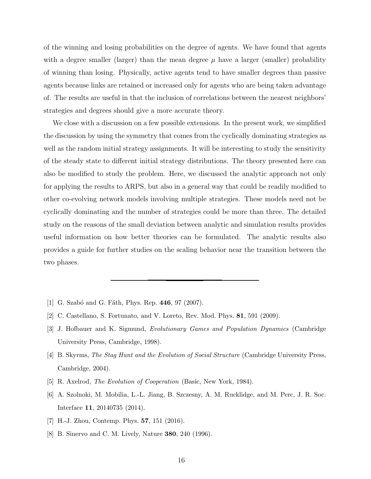of the winning and losing probabilities on the degree of agents. We have found that agents with a degree smaller (larger) than the mean degree  $\mu$  have a larger (smaller) probability of winning than losing. Physically, active agents tend to have smaller degrees than passive agents because links are retained or increased only for agents who are being taken advantage of. The results are useful in that the inclusion of correlations between the nearest neighbors' strategies and degrees should give a more accurate theory.

We close with a discussion on a few possible extensions. In the present work, we simplified the discussion by using the symmetry that comes from the cyclically dominating strategies as well as the random initial strategy assignments. It will be interesting to study the sensitivity of the steady state to different initial strategy distributions. The theory presented here can also be modified to study the problem. Here, we discussed the analytic approach not only for applying the results to ARPS, but also in a general way that could be readily modified to other co-evolving network models involving multiple strategies. These models need not be cyclically dominating and the number of strategies could be more than three. The detailed study on the reasons of the small deviation between analytic and simulation results provides useful information on how better theories can be formulated. The analytic results also provides a guide for further studies on the scaling behavior near the transition between the two phases.

- <span id="page-15-0"></span>[1] G. Szabó and G. Fáth, Phys. Rep. 446, 97 (2007).
- <span id="page-15-1"></span>[2] C. Castellano, S. Fortunato, and V. Loreto, Rev. Mod. Phys. 81, 591 (2009).
- <span id="page-15-2"></span>[3] J. Hofbauer and K. Sigmund, Evolutionary Games and Population Dynamics (Cambridge University Press, Cambridge, 1998).
- [4] B. Skyrms, The Stag Hunt and the Evolution of Social Structure (Cambridge University Press, Cambridge, 2004).
- <span id="page-15-3"></span>[5] R. Axelrod, The Evolution of Cooperation (Basic, New York, 1984).
- <span id="page-15-4"></span>[6] A. Szolnoki, M. Mobilia, L.-L. Jiang, B. Szczesny, A. M. Rucklidge, and M. Perc, J. R. Soc. Interface 11, 20140735 (2014).
- <span id="page-15-5"></span>[7] H.-J. Zhou, Contemp. Phys. **57**, 151 (2016).
- <span id="page-15-6"></span>[8] B. Sinervo and C. M. Lively, Nature 380, 240 (1996).